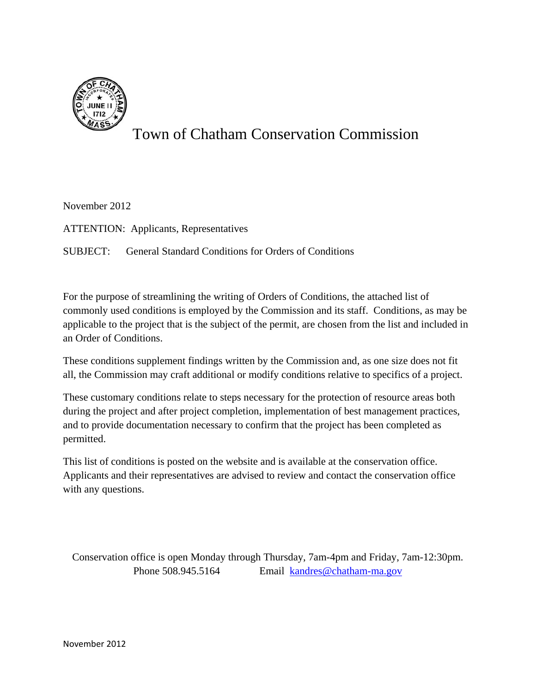

# Town of Chatham Conservation Commission

November 2012

ATTENTION: Applicants, Representatives

SUBJECT: General Standard Conditions for Orders of Conditions

For the purpose of streamlining the writing of Orders of Conditions, the attached list of commonly used conditions is employed by the Commission and its staff. Conditions, as may be applicable to the project that is the subject of the permit, are chosen from the list and included in an Order of Conditions.

These conditions supplement findings written by the Commission and, as one size does not fit all, the Commission may craft additional or modify conditions relative to specifics of a project.

These customary conditions relate to steps necessary for the protection of resource areas both during the project and after project completion, implementation of best management practices, and to provide documentation necessary to confirm that the project has been completed as permitted.

This list of conditions is posted on the website and is available at the conservation office. Applicants and their representatives are advised to review and contact the conservation office with any questions.

Conservation office is open Monday through Thursday, 7am-4pm and Friday, 7am-12:30pm. Phone 508.945.5164 Email kandres@chatham-ma.gov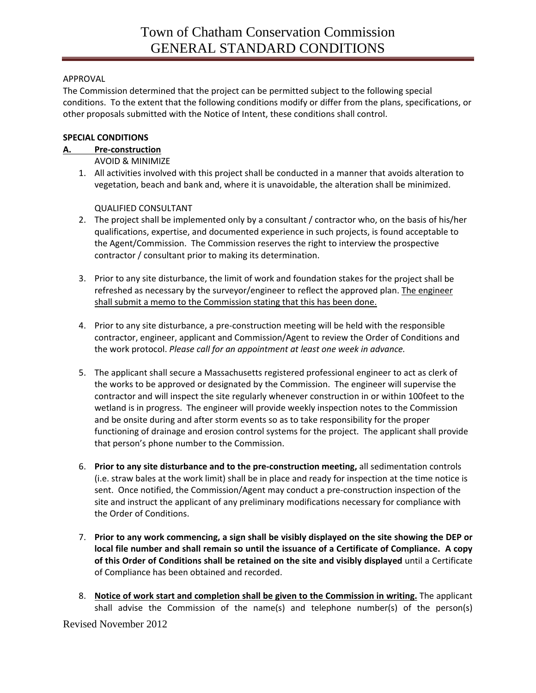# APPROVAL

The Commission determined that the project can be permitted subject to the following special conditions. To the extent that the following conditions modify or differ from the plans, specifications, or other proposals submitted with the Notice of Intent, these conditions shall control.

# **SPECIAL CONDITIONS**

## **A. Pre‐construction**

AVOID & MINIMIZE

1. All activities involved with this project shall be conducted in a manner that avoids alteration to vegetation, beach and bank and, where it is unavoidable, the alteration shall be minimized.

## QUALIFIED CONSULTANT

- 2. The project shall be implemented only by a consultant / contractor who, on the basis of his/her qualifications, expertise, and documented experience in such projects, is found acceptable to the Agent/Commission. The Commission reserves the right to interview the prospective contractor / consultant prior to making its determination.
- 3. Prior to any site disturbance, the limit of work and foundation stakes for the project shall be refreshed as necessary by the surveyor/engineer to reflect the approved plan. The engineer shall submit a memo to the Commission stating that this has been done.
- 4. Prior to any site disturbance, a pre-construction meeting will be held with the responsible contractor, engineer, applicant and Commission/Agent to review the Order of Conditions and the work protocol. *Please call for an appointment at least one week in advance.*
- 5. The applicant shall secure a Massachusetts registered professional engineer to act as clerk of the works to be approved or designated by the Commission. The engineer will supervise the contractor and will inspect the site regularly whenever construction in or within 100feet to the wetland is in progress. The engineer will provide weekly inspection notes to the Commission and be onsite during and after storm events so as to take responsibility for the proper functioning of drainage and erosion control systems for the project. The applicant shall provide that person's phone number to the Commission.
- 6. **Prior to any site disturbance and to the pre‐construction meeting,** all sedimentation controls (i.e. straw bales at the work limit) shall be in place and ready for inspection at the time notice is sent. Once notified, the Commission/Agent may conduct a pre-construction inspection of the site and instruct the applicant of any preliminary modifications necessary for compliance with the Order of Conditions.
- 7. **Prior to any work commencing, a sign shall be visibly displayed on the site showing the DEP or local file number and shall remain so until the issuance of a Certificate of Compliance. A copy of this Order of Conditions shall be retained on the site and visibly displayed** until a Certificate of Compliance has been obtained and recorded.
- Revised November 2012 8. **Notice of work start and completion shall be given to the Commission in writing.** The applicant shall advise the Commission of the name(s) and telephone number(s) of the person(s)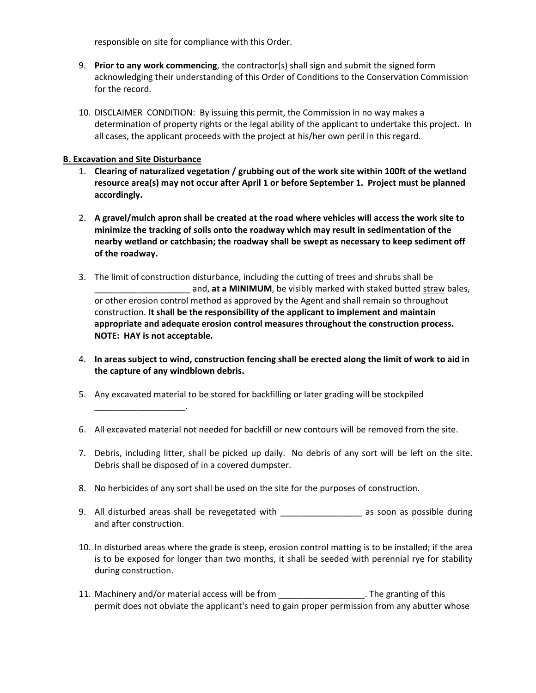responsible on site for compliance with this Order.

- 9. **Prior to any work commencing**, the contractor(s) shall sign and submit the signed form acknowledging their understanding of this Order of Conditions to the Conservation Commission for the record.
- 10. DISCLAIMER CONDITION: By issuing this permit, the Commission in no way makes a determination of property rights or the legal ability of the applicant to undertake this project. In all cases, the applicant proceeds with the project at his/her own peril in this regard.

## **B. Excavation and Site Disturbance**

\_\_\_\_\_\_\_\_\_\_\_\_\_\_\_\_\_\_\_.

- 1. **Clearing of naturalized vegetation / grubbing out of the work site within 100ft of the wetland resource area(s) may not occur after April 1 or before September 1. Project must be planned accordingly.**
- 2. **A gravel/mulch apron shall be created at the road where vehicles will access the work site to minimize the tracking of soils onto the roadway which may result in sedimentation of the nearby wetland or catchbasin; the roadway shall be swept as necessary to keep sediment off of the roadway.**
- 3. The limit of construction disturbance, including the cutting of trees and shrubs shall be \_\_\_\_\_\_\_\_\_\_\_\_\_\_\_\_\_\_\_\_ and, **at a MINIMUM**, be visibly marked with staked butted straw bales, or other erosion control method as approved by the Agent and shall remain so throughout construction. **It shall be the responsibility of the applicant to implement and maintain appropriate and adequate erosion control measures throughout the construction process. NOTE: HAY is not acceptable.**
- 4. In areas subject to wind, construction fencing shall be erected along the limit of work to aid in **the capture of any windblown debris.**
- 5. Any excavated material to be stored for backfilling or later grading will be stockpiled
- 6. All excavated material not needed for backfill or new contours will be removed from the site.
- 7. Debris, including litter, shall be picked up daily. No debris of any sort will be left on the site. Debris shall be disposed of in a covered dumpster.
- 8. No herbicides of any sort shall be used on the site for the purposes of construction.
- 9. All disturbed areas shall be revegetated with \_\_\_\_\_\_\_\_\_\_\_\_\_\_\_\_\_\_\_ as soon as possible during and after construction.
- 10. In disturbed areas where the grade is steep, erosion control matting is to be installed; if the area is to be exposed for longer than two months, it shall be seeded with perennial rye for stability during construction.
- 11. Machinery and/or material access will be from \_\_\_\_\_\_\_\_\_\_\_\_\_\_\_\_\_\_\_. The granting of this permit does not obviate the applicant's need to gain proper permission from any abutter whose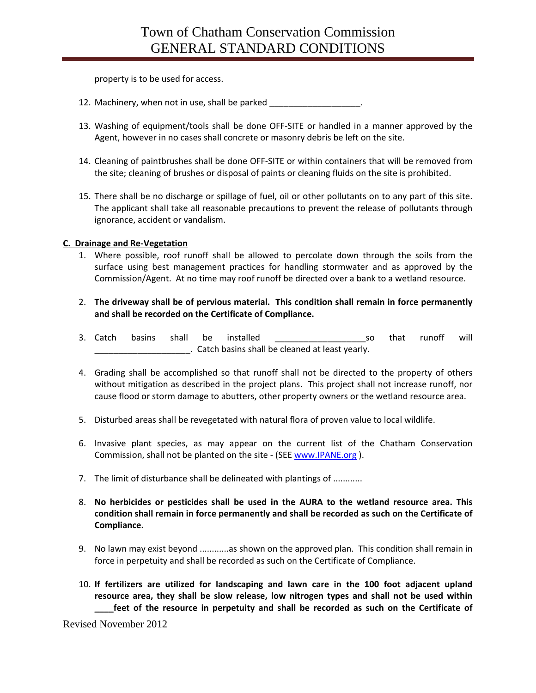property is to be used for access.

- 12. Machinery, when not in use, shall be parked
- 13. Washing of equipment/tools shall be done OFF‐SITE or handled in a manner approved by the Agent, however in no cases shall concrete or masonry debris be left on the site.
- 14. Cleaning of paintbrushes shall be done OFF‐SITE or within containers that will be removed from the site; cleaning of brushes or disposal of paints or cleaning fluids on the site is prohibited.
- 15. There shall be no discharge or spillage of fuel, oil or other pollutants on to any part of this site. The applicant shall take all reasonable precautions to prevent the release of pollutants through ignorance, accident or vandalism.

## **C. Drainage and Re‐Vegetation**

- 1. Where possible, roof runoff shall be allowed to percolate down through the soils from the surface using best management practices for handling stormwater and as approved by the Commission/Agent. At no time may roof runoff be directed over a bank to a wetland resource.
- 2. **The driveway shall be of pervious material. This condition shall remain in force permanently and shall be recorded on the Certificate of Compliance.**
- 3. Catch basins shall be installed and the so that runoff will \_\_\_\_\_\_\_\_\_\_\_\_\_\_\_\_\_\_\_\_. Catch basins shall be cleaned at least yearly.
- 4. Grading shall be accomplished so that runoff shall not be directed to the property of others without mitigation as described in the project plans. This project shall not increase runoff, nor cause flood or storm damage to abutters, other property owners or the wetland resource area.
- 5. Disturbed areas shall be revegetated with natural flora of proven value to local wildlife.
- 6. Invasive plant species, as may appear on the current list of the Chatham Conservation Commission, shall not be planted on the site - (SEE www.IPANE.org).
- 7. The limit of disturbance shall be delineated with plantings of ............
- 8. **No herbicides or pesticides shall be used in the AURA to the wetland resource area. This condition shall remain in force permanently and shall be recorded as such on the Certificate of Compliance.**
- 9. No lawn may exist beyond ............as shown on the approved plan. This condition shall remain in force in perpetuity and shall be recorded as such on the Certificate of Compliance.
- 10. **If fertilizers are utilized for landscaping and lawn care in the 100 foot adjacent upland resource area, they shall be slow release, low nitrogen types and shall not be used within \_\_\_\_feet of the resource in perpetuity and shall be recorded as such on the Certificate of**

Revised November 2012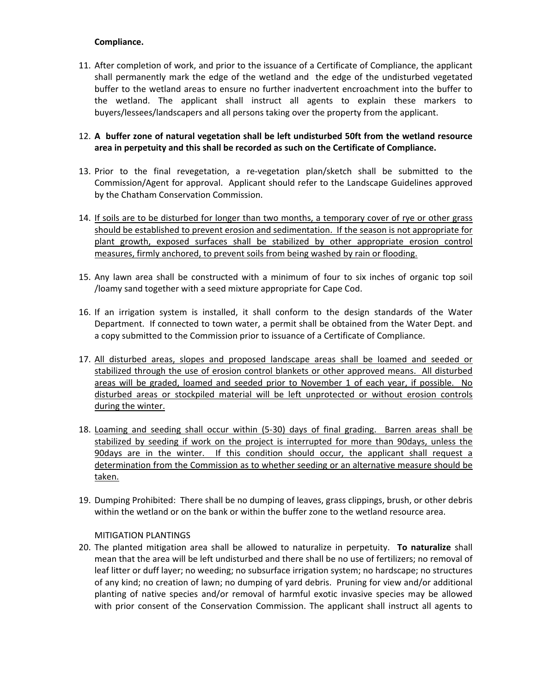## **Compliance.**

11. After completion of work, and prior to the issuance of a Certificate of Compliance, the applicant shall permanently mark the edge of the wetland and the edge of the undisturbed vegetated buffer to the wetland areas to ensure no further inadvertent encroachment into the buffer to the wetland. The applicant shall instruct all agents to explain these markers to buyers/lessees/landscapers and all persons taking over the property from the applicant.

## 12. **A buffer zone of natural vegetation shall be left undisturbed 50ft from the wetland resource area in perpetuity and this shall be recorded as such on the Certificate of Compliance.**

- 13. Prior to the final revegetation, a re‐vegetation plan/sketch shall be submitted to the Commission/Agent for approval. Applicant should refer to the Landscape Guidelines approved by the Chatham Conservation Commission.
- 14. If soils are to be disturbed for longer than two months, a temporary cover of rye or other grass should be established to prevent erosion and sedimentation. If the season is not appropriate for plant growth, exposed surfaces shall be stabilized by other appropriate erosion control measures, firmly anchored, to prevent soils from being washed by rain or flooding.
- 15. Any lawn area shall be constructed with a minimum of four to six inches of organic top soil /loamy sand together with a seed mixture appropriate for Cape Cod.
- 16. If an irrigation system is installed, it shall conform to the design standards of the Water Department. If connected to town water, a permit shall be obtained from the Water Dept. and a copy submitted to the Commission prior to issuance of a Certificate of Compliance.
- 17. All disturbed areas, slopes and proposed landscape areas shall be loamed and seeded or stabilized through the use of erosion control blankets or other approved means. All disturbed areas will be graded, loamed and seeded prior to November 1 of each year, if possible. No disturbed areas or stockpiled material will be left unprotected or without erosion controls during the winter.
- 18. Loaming and seeding shall occur within (5-30) days of final grading. Barren areas shall be stabilized by seeding if work on the project is interrupted for more than 90days, unless the 90days are in the winter. If this condition should occur, the applicant shall request a determination from the Commission as to whether seeding or an alternative measure should be taken.
- 19. Dumping Prohibited: There shall be no dumping of leaves, grass clippings, brush, or other debris within the wetland or on the bank or within the buffer zone to the wetland resource area.

#### MITIGATION PLANTINGS

20. The planted mitigation area shall be allowed to naturalize in perpetuity. **To naturalize** shall mean that the area will be left undisturbed and there shall be no use of fertilizers; no removal of leaf litter or duff layer; no weeding; no subsurface irrigation system; no hardscape; no structures of any kind; no creation of lawn; no dumping of yard debris. Pruning for view and/or additional planting of native species and/or removal of harmful exotic invasive species may be allowed with prior consent of the Conservation Commission. The applicant shall instruct all agents to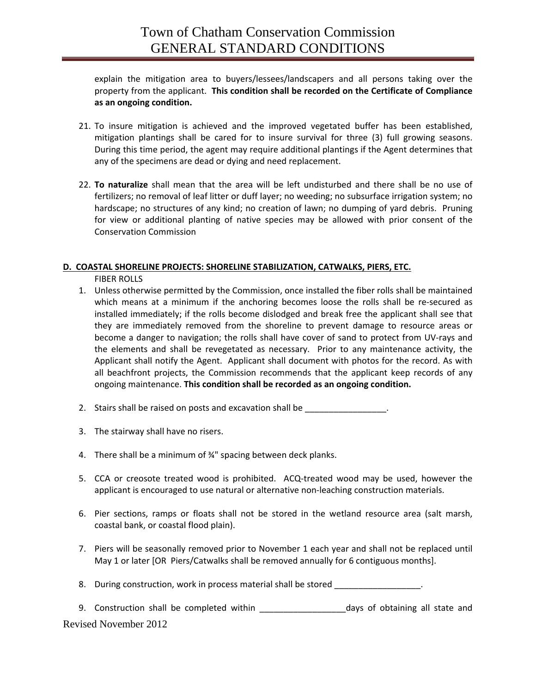explain the mitigation area to buyers/lessees/landscapers and all persons taking over the property from the applicant. **This condition shall be recorded on the Certificate of Compliance as an ongoing condition.**

- 21. To insure mitigation is achieved and the improved vegetated buffer has been established, mitigation plantings shall be cared for to insure survival for three (3) full growing seasons. During this time period, the agent may require additional plantings if the Agent determines that any of the specimens are dead or dying and need replacement.
- 22. **To naturalize** shall mean that the area will be left undisturbed and there shall be no use of fertilizers; no removal of leaf litter or duff layer; no weeding; no subsurface irrigation system; no hardscape; no structures of any kind; no creation of lawn; no dumping of yard debris. Pruning for view or additional planting of native species may be allowed with prior consent of the Conservation Commission

#### **D. COASTAL SHORELINE PROJECTS: SHORELINE STABILIZATION, CATWALKS, PIERS, ETC.**

FIBER ROLLS

- 1. Unless otherwise permitted by the Commission, once installed the fiber rolls shall be maintained which means at a minimum if the anchoring becomes loose the rolls shall be re-secured as installed immediately; if the rolls become dislodged and break free the applicant shall see that they are immediately removed from the shoreline to prevent damage to resource areas or become a danger to navigation; the rolls shall have cover of sand to protect from UV-rays and the elements and shall be revegetated as necessary. Prior to any maintenance activity, the Applicant shall notify the Agent. Applicant shall document with photos for the record. As with all beachfront projects, the Commission recommends that the applicant keep records of any ongoing maintenance. **This condition shall be recorded as an ongoing condition.**
- 2. Stairs shall be raised on posts and excavation shall be
- 3. The stairway shall have no risers.
- 4. There shall be a minimum of ¾" spacing between deck planks.
- 5. CCA or creosote treated wood is prohibited. ACQ-treated wood may be used, however the applicant is encouraged to use natural or alternative non‐leaching construction materials.
- 6. Pier sections, ramps or floats shall not be stored in the wetland resource area (salt marsh, coastal bank, or coastal flood plain).
- 7. Piers will be seasonally removed prior to November 1 each year and shall not be replaced until May 1 or later [OR Piers/Catwalks shall be removed annually for 6 contiguous months].
- 8. During construction, work in process material shall be stored **with all assets**

Revised November 2012 9. Construction shall be completed within \_\_\_\_\_\_\_\_\_\_\_\_\_\_\_\_\_\_days of obtaining all state and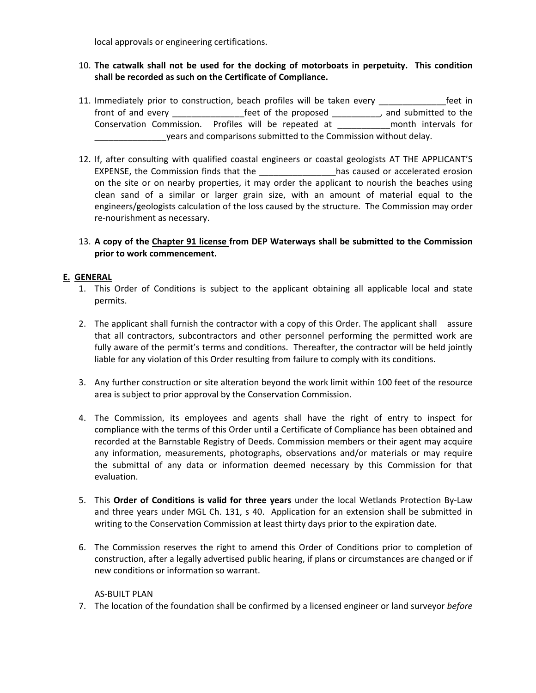local approvals or engineering certifications.

## 10. **The catwalk shall not be used for the docking of motorboats in perpetuity. This condition shall be recorded as such on the Certificate of Compliance.**

- 11. Immediately prior to construction, beach profiles will be taken every \_\_\_\_\_\_\_\_\_\_\_\_\_\_feet in front of and every **the set of the proposed** and submitted to the Conservation Commission. Profiles will be repeated at \_\_\_\_\_\_\_\_\_\_\_month intervals for years and comparisons submitted to the Commission without delay.
- 12. If, after consulting with qualified coastal engineers or coastal geologists AT THE APPLICANT'S EXPENSE, the Commission finds that the \_\_\_\_\_\_\_\_\_\_\_\_\_\_\_\_\_\_has caused or accelerated erosion on the site or on nearby properties, it may order the applicant to nourish the beaches using clean sand of a similar or larger grain size, with an amount of material equal to the engineers/geologists calculation of the loss caused by the structure. The Commission may order re‐nourishment as necessary.
- 13. **A copy of the Chapter 91 license from DEP Waterways shall be submitted to the Commission prior to work commencement.**

## **E. GENERAL**

- 1. This Order of Conditions is subject to the applicant obtaining all applicable local and state permits.
- 2. The applicant shall furnish the contractor with a copy of this Order. The applicant shall assure that all contractors, subcontractors and other personnel performing the permitted work are fully aware of the permit's terms and conditions. Thereafter, the contractor will be held jointly liable for any violation of this Order resulting from failure to comply with its conditions.
- 3. Any further construction or site alteration beyond the work limit within 100 feet of the resource area is subject to prior approval by the Conservation Commission.
- 4. The Commission, its employees and agents shall have the right of entry to inspect for compliance with the terms of this Order until a Certificate of Compliance has been obtained and recorded at the Barnstable Registry of Deeds. Commission members or their agent may acquire any information, measurements, photographs, observations and/or materials or may require the submittal of any data or information deemed necessary by this Commission for that evaluation.
- 5. This **Order of Conditions is valid for three years** under the local Wetlands Protection By‐Law and three years under MGL Ch. 131, s 40. Application for an extension shall be submitted in writing to the Conservation Commission at least thirty days prior to the expiration date.
- 6. The Commission reserves the right to amend this Order of Conditions prior to completion of construction, after a legally advertised public hearing, if plans or circumstances are changed or if new conditions or information so warrant.

## AS‐BUILT PLAN

7. The location of the foundation shall be confirmed by a licensed engineer or land surveyor *before*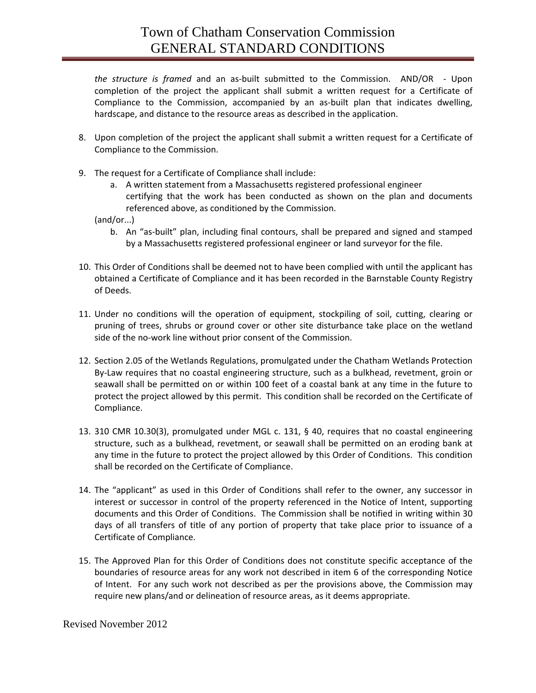*the structure is framed* and an as‐built submitted to the Commission. AND/OR ‐ Upon completion of the project the applicant shall submit a written request for a Certificate of Compliance to the Commission, accompanied by an as‐built plan that indicates dwelling, hardscape, and distance to the resource areas as described in the application.

- 8. Upon completion of the project the applicant shall submit a written request for a Certificate of Compliance to the Commission.
- 9. The request for a Certificate of Compliance shall include:
	- a. A written statement from a Massachusetts registered professional engineer certifying that the work has been conducted as shown on the plan and documents referenced above, as conditioned by the Commission.

(and/or...)

- b. An "as‐built" plan, including final contours, shall be prepared and signed and stamped by a Massachusetts registered professional engineer or land surveyor for the file.
- 10. This Order of Conditions shall be deemed not to have been complied with until the applicant has obtained a Certificate of Compliance and it has been recorded in the Barnstable County Registry of Deeds.
- 11. Under no conditions will the operation of equipment, stockpiling of soil, cutting, clearing or pruning of trees, shrubs or ground cover or other site disturbance take place on the wetland side of the no-work line without prior consent of the Commission.
- 12. Section 2.05 of the Wetlands Regulations, promulgated under the Chatham Wetlands Protection By-Law requires that no coastal engineering structure, such as a bulkhead, revetment, groin or seawall shall be permitted on or within 100 feet of a coastal bank at any time in the future to protect the project allowed by this permit. This condition shall be recorded on the Certificate of Compliance.
- 13. 310 CMR 10.30(3), promulgated under MGL c. 131, § 40, requires that no coastal engineering structure, such as a bulkhead, revetment, or seawall shall be permitted on an eroding bank at any time in the future to protect the project allowed by this Order of Conditions. This condition shall be recorded on the Certificate of Compliance.
- 14. The "applicant" as used in this Order of Conditions shall refer to the owner, any successor in interest or successor in control of the property referenced in the Notice of Intent, supporting documents and this Order of Conditions. The Commission shall be notified in writing within 30 days of all transfers of title of any portion of property that take place prior to issuance of a Certificate of Compliance.
- 15. The Approved Plan for this Order of Conditions does not constitute specific acceptance of the boundaries of resource areas for any work not described in item 6 of the corresponding Notice of Intent. For any such work not described as per the provisions above, the Commission may require new plans/and or delineation of resource areas, as it deems appropriate.

Revised November 2012